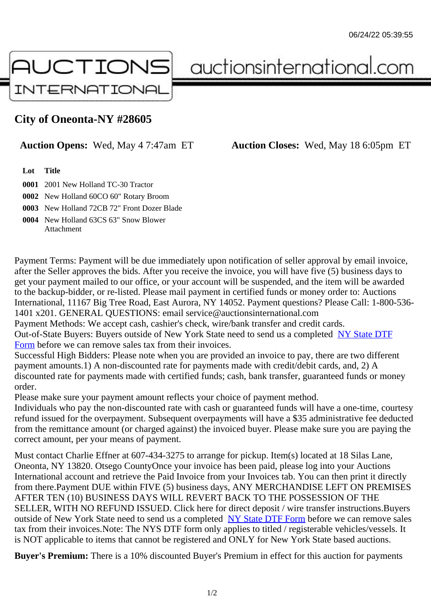## City of Oneonta-NY #28605

Auction Opens: Wed, May 4 7:47am ET Auction Closes: Wed, May 18 6:05pm ET

Lot Title

0001 2001 New Holland TC-30 Tractor

0002 New Holland 60CO 60" Rotary Broom

0003 New Holland 72CB 72" Front Dozer Blade

0004 New Holland 63CS 63" Snow Blower **Attachment** 

Payment Terms: Payment will be due immediately upon notification of seller approval by email invoice, after the Seller approves the bids. After you receive the invoice, you will have five (5) business days to get your payment mailed to our office, or your account will be suspended, and the item will be awarded to the backup-bidder, or re-listed. Please mail payment in certified funds or money order to: Auctions International, 11167 Big Tree Road, East Aurora, NY 14052. Payment questions? Please Call: 1-800-53 1401 x201. GENERAL QUESTIONS: email service@auctionsinternational.com

Payment Methods: We accept cash, cashier's check, wire/bank transfer and credit cards.

Out-of-State Buyers: Buyers outside of New York State need to send us a complered to TTF Form before we can remove sales tax from their invoices.

Successful High Bidders: Please note when you are provided an invoice to pay, there are two different payment amounts.1) A non-discounted rate for payments made with credit/de[bit cards, and](https://www.auctionsinternational.com/auxiliary/downloads/DTF_Form/dtf_fill_in.pdf), 2) A [disco](https://www.auctionsinternational.com/auxiliary/downloads/DTF_Form/dtf_fill_in.pdf)unted rate for payments made with certified funds; cash, bank transfer, quaranteed funds or mone order.

Please make sure your payment amount reflects your choice of payment method.

Individuals who pay the non-discounted rate with cash or guaranteed funds will have a one-time, courte refund issued for the overpayment. Subsequent overpayments will have a \$35 administrative fee deduc from the remittance amount (or charged against) the invoiced buyer. Please make sure you are paying correct amount, per your means of payment.

Must contact Charlie Effner at 607-434-3275 to arrange for pickup. Item(s) located at 18 Silas Lane, Oneonta, NY 13820. Otsego CountyOnce your invoice has been paid, please log into your Auctions International account and retrieve the Paid Invoice from your Invoices tab. You can then print it directly from there.Payment DUE within FIVE (5) business days, ANY MERCHANDISE LEFT ON PREMISES AFTER TEN (10) BUSINESS DAYS WILL REVERT BACK TO THE POSSESSION OF THE SELLER, WITH NO REFUND ISSUED. Click here for direct deposit / wire transfer instructions. Buyers outside of New York State need to send us a complete **State DTF Form before we can remove sales** tax from their invoices.Note: The NYS DTF form only applies to titled / registerable vehicles/vessels. It is NOT applicable to items that cannot be registered and ONLY for New York State based auctions.

Buyer's Premium: There is a 10% discounted Buye[r's Premium in effec](https://www.auctionsinternational.com/auxiliary/downloads/DTF_Form/dtf_fill_in.pdf)t for this auction for payments